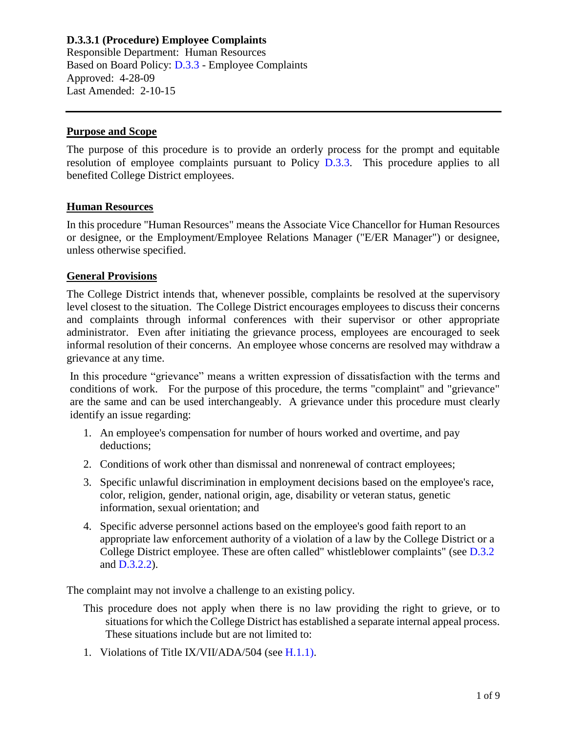## **D.3.3.1 (Procedure) Employee Complaints**

Responsible Department: Human Resources Based on Board Policy: [D.3.3](https://www.alamo.edu/siteassets/district/about-us/leadership/board-of-trustees/policies-pdfs/section-d/d.3.3-policy.pdf) - Employee Complaints Approved: 4-28-09 Last Amended: 2-10-15

#### **Purpose and Scope**

The purpose of this procedure is to provide an orderly process for the prompt and equitable resolution of employee complaints pursuant to Policy [D.3.3.](https://www.alamo.edu/siteassets/district/about-us/leadership/board-of-trustees/policies-pdfs/section-d/d.3.3-policy.pdf) This procedure applies to all benefited College District employees.

#### **Human Resources**

In this procedure "Human Resources" means the Associate Vice Chancellor for Human Resources or designee, or the Employment/Employee Relations Manager ("E/ER Manager") or designee, unless otherwise specified.

#### **General Provisions**

The College District intends that, whenever possible, complaints be resolved at the supervisory level closest to the situation. The College District encourages employees to discuss their concerns and complaints through informal conferences with their supervisor or other appropriate administrator. Even after initiating the grievance process, employees are encouraged to seek informal resolution of their concerns. An employee whose concerns are resolved may withdraw a grievance at any time.

In this procedure "grievance" means a written expression of dissatisfaction with the terms and conditions of work. For the purpose of this procedure, the terms "complaint" and "grievance" are the same and can be used interchangeably. A grievance under this procedure must clearly identify an issue regarding:

- 1. An employee's compensation for number of hours worked and overtime, and pay deductions;
- 2. Conditions of work other than dismissal and nonrenewal of contract employees;
- 3. Specific unlawful discrimination in employment decisions based on the employee's race, color, religion, gender, national origin, age, disability or veteran status, genetic information, sexual orientation; and
- 4. Specific adverse personnel actions based on the employee's good faith report to an appropriate law enforcement authority of a violation of a law by the College District or a College District employee. These are often called" whistleblower complaints" (see [D.3.2](https://www.alamo.edu/siteassets/district/about-us/leadership/board-of-trustees/policies-pdfs/section-d/d.3.2-policy.pdf) and [D.3.2.2\)](https://www.alamo.edu/siteassets/district/about-us/leadership/board-of-trustees/policies-pdfs/section-d/d.3.2.2-procedure.pdf).

The complaint may not involve a challenge to an existing policy.

- This procedure does not apply when there is no law providing the right to grieve, or to situations for which the College District has established a separate internal appeal process. These situations include but are not limited to:
- 1. Violations of Title IX/VII/ADA/504 (see [H.1.1\)](https://www.alamo.edu/siteassets/district/about-us/leadership/board-of-trustees/policies-pdfs/section-h/h.1.1-policy.pdf).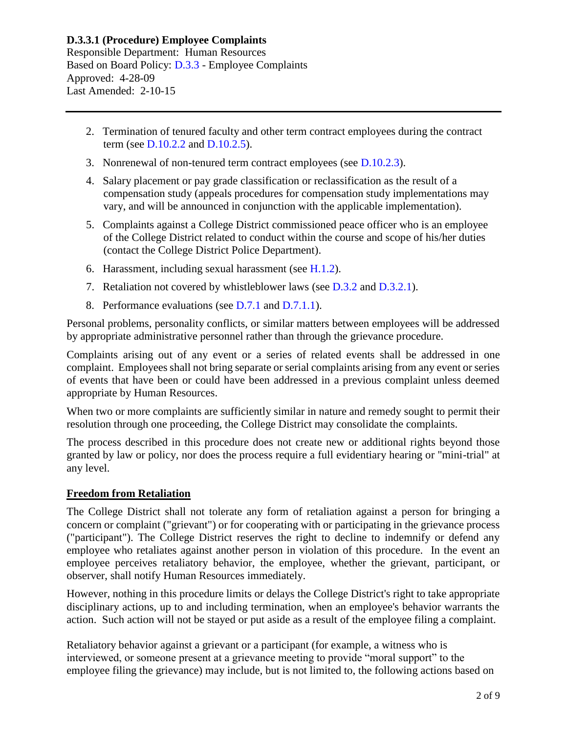- 2. Termination of tenured faculty and other term contract employees during the contract term (see [D.10.2.2](https://www.alamo.edu/siteassets/district/about-us/leadership/board-of-trustees/policies-pdfs/section-d/d.10.2.2-procedure.pdf) and [D.10.2.5\)](https://www.alamo.edu/siteassets/district/about-us/leadership/board-of-trustees/policies-pdfs/section-d/d.10.2.5-procedure.pdf).
- 3. Nonrenewal of non-tenured term contract employees (see [D.10.2.3\)](https://www.alamo.edu/siteassets/district/about-us/leadership/board-of-trustees/policies-pdfs/section-d/d.10.2.3-procedure.pdf).
- 4. Salary placement or pay grade classification or reclassification as the result of a compensation study (appeals procedures for compensation study implementations may vary, and will be announced in conjunction with the applicable implementation).
- 5. Complaints against a College District commissioned peace officer who is an employee of the College District related to conduct within the course and scope of his/her duties (contact the College District Police Department).
- 6. Harassment, including sexual harassment (see  $H(1.2)$ .
- 7. Retaliation not covered by whistleblower laws (see [D.3.2](https://www.alamo.edu/siteassets/district/about-us/leadership/board-of-trustees/policies-pdfs/section-d/d.3.2-policy.pdf) and [D.3.2.1\)](https://www.alamo.edu/siteassets/district/about-us/leadership/board-of-trustees/policies-pdfs/section-d/d.3.2.1-procedure.pdf).
- 8. Performance evaluations (see [D.7.1](https://www.alamo.edu/siteassets/district/about-us/leadership/board-of-trustees/policies-pdfs/section-d/d.7.1-policy.pdf) and [D.7.1.1\)](https://www.alamo.edu/siteassets/district/about-us/leadership/board-of-trustees/policies-pdfs/section-d/d.7.1.1-procedure.pdf).

Personal problems, personality conflicts, or similar matters between employees will be addressed by appropriate administrative personnel rather than through the grievance procedure.

Complaints arising out of any event or a series of related events shall be addressed in one complaint. Employees shall not bring separate or serial complaints arising from any event or series of events that have been or could have been addressed in a previous complaint unless deemed appropriate by Human Resources.

When two or more complaints are sufficiently similar in nature and remedy sought to permit their resolution through one proceeding, the College District may consolidate the complaints.

The process described in this procedure does not create new or additional rights beyond those granted by law or policy, nor does the process require a full evidentiary hearing or "mini-trial" at any level.

#### **Freedom from Retaliation**

The College District shall not tolerate any form of retaliation against a person for bringing a concern or complaint ("grievant") or for cooperating with or participating in the grievance process ("participant"). The College District reserves the right to decline to indemnify or defend any employee who retaliates against another person in violation of this procedure. In the event an employee perceives retaliatory behavior, the employee, whether the grievant, participant, or observer, shall notify Human Resources immediately.

However, nothing in this procedure limits or delays the College District's right to take appropriate disciplinary actions, up to and including termination, when an employee's behavior warrants the action. Such action will not be stayed or put aside as a result of the employee filing a complaint.

Retaliatory behavior against a grievant or a participant (for example, a witness who is interviewed, or someone present at a grievance meeting to provide "moral support" to the employee filing the grievance) may include, but is not limited to, the following actions based on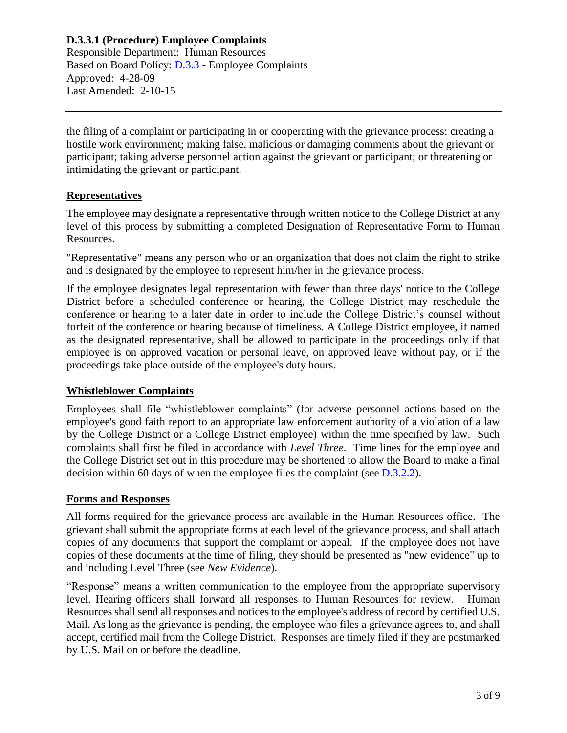## **D.3.3.1 (Procedure) Employee Complaints**

Responsible Department: Human Resources Based on Board Policy: [D.3.3](https://www.alamo.edu/siteassets/district/about-us/leadership/board-of-trustees/policies-pdfs/section-d/d.3.3-policy.pdf) - Employee Complaints Approved: 4-28-09 Last Amended: 2-10-15

the filing of a complaint or participating in or cooperating with the grievance process: creating a hostile work environment; making false, malicious or damaging comments about the grievant or participant; taking adverse personnel action against the grievant or participant; or threatening or intimidating the grievant or participant.

#### **Representatives**

The employee may designate a representative through written notice to the College District at any level of this process by submitting a completed Designation of Representative Form to Human Resources.

"Representative" means any person who or an organization that does not claim the right to strike and is designated by the employee to represent him/her in the grievance process.

If the employee designates legal representation with fewer than three days' notice to the College District before a scheduled conference or hearing, the College District may reschedule the conference or hearing to a later date in order to include the College District's counsel without forfeit of the conference or hearing because of timeliness. A College District employee, if named as the designated representative, shall be allowed to participate in the proceedings only if that employee is on approved vacation or personal leave, on approved leave without pay, or if the proceedings take place outside of the employee's duty hours.

#### **Whistleblower Complaints**

Employees shall file "whistleblower complaints" (for adverse personnel actions based on the employee's good faith report to an appropriate law enforcement authority of a violation of a law by the College District or a College District employee) within the time specified by law. Such complaints shall first be filed in accordance with *Level Three*. Time lines for the employee and the College District set out in this procedure may be shortened to allow the Board to make a final decision within 60 days of when the employee files the complaint (see [D.3.2.2\)](https://www.alamo.edu/siteassets/district/about-us/leadership/board-of-trustees/policies-pdfs/section-d/d.3.2.2-procedure.pdf).

#### **Forms and Responses**

All forms required for the grievance process are available in the Human Resources office. The grievant shall submit the appropriate forms at each level of the grievance process, and shall attach copies of any documents that support the complaint or appeal. If the employee does not have copies of these documents at the time of filing, they should be presented as "new evidence" up to and including Level Three (see *New Evidence*).

"Response" means a written communication to the employee from the appropriate supervisory level. Hearing officers shall forward all responses to Human Resources for review. Human Resources shall send all responses and notices to the employee's address of record by certified U.S. Mail. As long as the grievance is pending, the employee who files a grievance agrees to, and shall accept, certified mail from the College District. Responses are timely filed if they are postmarked by U.S. Mail on or before the deadline.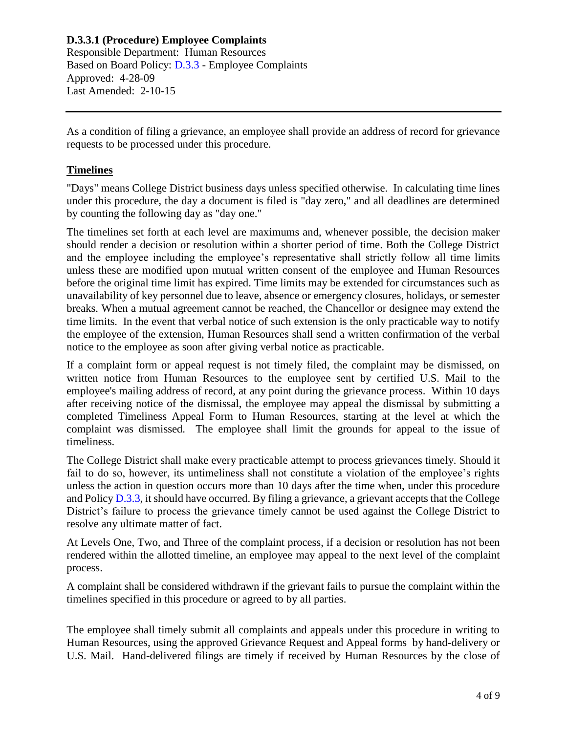As a condition of filing a grievance, an employee shall provide an address of record for grievance requests to be processed under this procedure.

## **Timelines**

"Days" means College District business days unless specified otherwise. In calculating time lines under this procedure, the day a document is filed is "day zero," and all deadlines are determined by counting the following day as "day one."

The timelines set forth at each level are maximums and, whenever possible, the decision maker should render a decision or resolution within a shorter period of time. Both the College District and the employee including the employee's representative shall strictly follow all time limits unless these are modified upon mutual written consent of the employee and Human Resources before the original time limit has expired. Time limits may be extended for circumstances such as unavailability of key personnel due to leave, absence or emergency closures, holidays, or semester breaks. When a mutual agreement cannot be reached, the Chancellor or designee may extend the time limits. In the event that verbal notice of such extension is the only practicable way to notify the employee of the extension, Human Resources shall send a written confirmation of the verbal notice to the employee as soon after giving verbal notice as practicable.

If a complaint form or appeal request is not timely filed, the complaint may be dismissed, on written notice from Human Resources to the employee sent by certified U.S. Mail to the employee's mailing address of record, at any point during the grievance process. Within 10 days after receiving notice of the dismissal, the employee may appeal the dismissal by submitting a completed Timeliness Appeal Form to Human Resources, starting at the level at which the complaint was dismissed. The employee shall limit the grounds for appeal to the issue of timeliness.

The College District shall make every practicable attempt to process grievances timely. Should it fail to do so, however, its untimeliness shall not constitute a violation of the employee's rights unless the action in question occurs more than 10 days after the time when, under this procedure and Policy [D.3.3,](https://www.alamo.edu/siteassets/district/about-us/leadership/board-of-trustees/policies-pdfs/section-d/d.3.3-policy.pdf) it should have occurred. By filing a grievance, a grievant accepts that the College District's failure to process the grievance timely cannot be used against the College District to resolve any ultimate matter of fact.

At Levels One, Two, and Three of the complaint process, if a decision or resolution has not been rendered within the allotted timeline, an employee may appeal to the next level of the complaint process.

A complaint shall be considered withdrawn if the grievant fails to pursue the complaint within the timelines specified in this procedure or agreed to by all parties.

The employee shall timely submit all complaints and appeals under this procedure in writing to Human Resources, using the approved Grievance Request and Appeal forms by hand-delivery or U.S. Mail. Hand-delivered filings are timely if received by Human Resources by the close of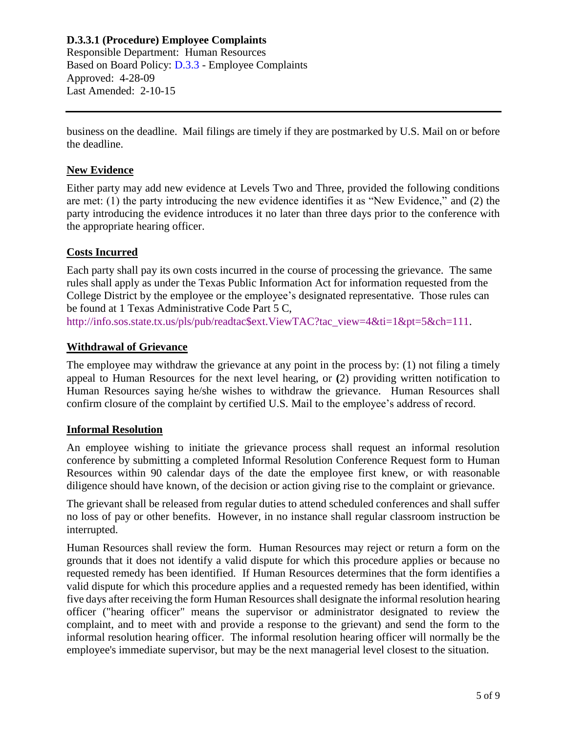business on the deadline. Mail filings are timely if they are postmarked by U.S. Mail on or before the deadline.

#### **New Evidence**

Either party may add new evidence at Levels Two and Three, provided the following conditions are met: (1) the party introducing the new evidence identifies it as "New Evidence," and (2) the party introducing the evidence introduces it no later than three days prior to the conference with the appropriate hearing officer.

#### **Costs Incurred**

Each party shall pay its own costs incurred in the course of processing the grievance. The same rules shall apply as under the Texas Public Information Act for information requested from the College District by the employee or the employee's designated representative. Those rules can be found at 1 Texas Administrative Code Part 5 C,

# [http://info.sos.state.tx.us/pls/pub/readtac\\$ext.ViewTAC?tac\\_view=4&ti=1&pt=5&ch=111.](http://info.sos.state.tx.us/pls/pub/readtac$ext.ViewTAC?tac_view=4&ti=1&pt=5&ch=111)

#### **Withdrawal of Grievance**

The employee may withdraw the grievance at any point in the process by: (1) not filing a timely appeal to Human Resources for the next level hearing, or **(**2) providing written notification to Human Resources saying he/she wishes to withdraw the grievance. Human Resources shall confirm closure of the complaint by certified U.S. Mail to the employee's address of record.

#### **Informal Resolution**

An employee wishing to initiate the grievance process shall request an informal resolution conference by submitting a completed Informal Resolution Conference Request form to Human Resources within 90 calendar days of the date the employee first knew, or with reasonable diligence should have known, of the decision or action giving rise to the complaint or grievance.

The grievant shall be released from regular duties to attend scheduled conferences and shall suffer no loss of pay or other benefits. However, in no instance shall regular classroom instruction be interrupted.

Human Resources shall review the form. Human Resources may reject or return a form on the grounds that it does not identify a valid dispute for which this procedure applies or because no requested remedy has been identified. If Human Resources determines that the form identifies a valid dispute for which this procedure applies and a requested remedy has been identified, within five days after receiving the form Human Resources shall designate the informal resolution hearing officer ("hearing officer" means the supervisor or administrator designated to review the complaint, and to meet with and provide a response to the grievant) and send the form to the informal resolution hearing officer. The informal resolution hearing officer will normally be the employee's immediate supervisor, but may be the next managerial level closest to the situation.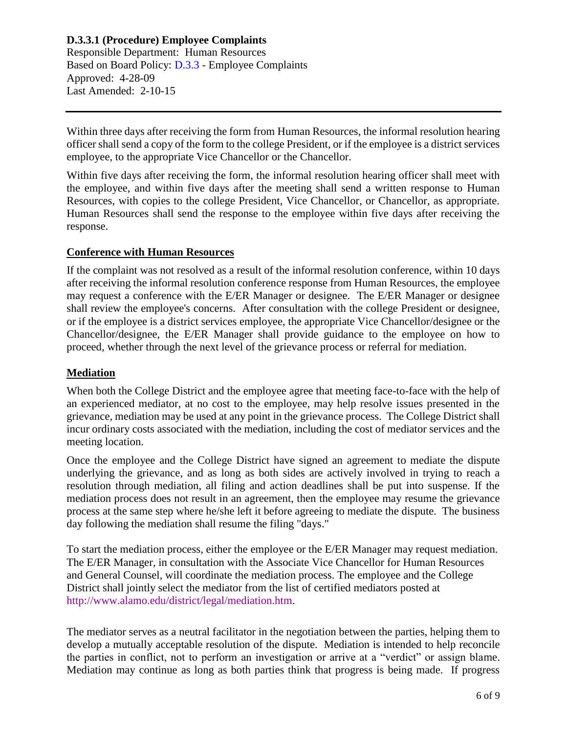# **D.3.3.1 (Procedure) Employee Complaints**

Responsible Department: Human Resources Based on Board Policy: [D.3.3](https://www.alamo.edu/siteassets/district/about-us/leadership/board-of-trustees/policies-pdfs/section-d/d.3.3-policy.pdf) - Employee Complaints Approved: 4-28-09 Last Amended: 2-10-15

Within three days after receiving the form from Human Resources, the informal resolution hearing officer shall send a copy of the form to the college President, or if the employee is a district services employee, to the appropriate Vice Chancellor or the Chancellor.

Within five days after receiving the form, the informal resolution hearing officer shall meet with the employee, and within five days after the meeting shall send a written response to Human Resources, with copies to the college President, Vice Chancellor, or Chancellor, as appropriate. Human Resources shall send the response to the employee within five days after receiving the response.

#### **Conference with Human Resources**

If the complaint was not resolved as a result of the informal resolution conference, within 10 days after receiving the informal resolution conference response from Human Resources, the employee may request a conference with the E/ER Manager or designee. The E/ER Manager or designee shall review the employee's concerns. After consultation with the college President or designee, or if the employee is a district services employee, the appropriate Vice Chancellor/designee or the Chancellor/designee, the E/ER Manager shall provide guidance to the employee on how to proceed, whether through the next level of the grievance process or referral for mediation.

#### **Mediation**

When both the College District and the employee agree that meeting face-to-face with the help of an experienced mediator, at no cost to the employee, may help resolve issues presented in the grievance, mediation may be used at any point in the grievance process. The College District shall incur ordinary costs associated with the mediation, including the cost of mediator services and the meeting location.

Once the employee and the College District have signed an agreement to mediate the dispute underlying the grievance, and as long as both sides are actively involved in trying to reach a resolution through mediation, all filing and action deadlines shall be put into suspense. If the mediation process does not result in an agreement, then the employee may resume the grievance process at the same step where he/she left it before agreeing to mediate the dispute. The business day following the mediation shall resume the filing "days."

To start the mediation process, either the employee or the E/ER Manager may request mediation. The E/ER Manager, in consultation with the Associate Vice Chancellor for Human Resources and General Counsel, will coordinate the mediation process. The employee and the College District shall jointly select the mediator from the list of certified mediators posted at [http://www.alamo.edu/district/legal/mediation.htm.](http://www.alamo.edu/district/legal/mediation.htm)

The mediator serves as a neutral facilitator in the negotiation between the parties, helping them to develop a mutually acceptable resolution of the dispute. Mediation is intended to help reconcile the parties in conflict, not to perform an investigation or arrive at a "verdict" or assign blame. Mediation may continue as long as both parties think that progress is being made. If progress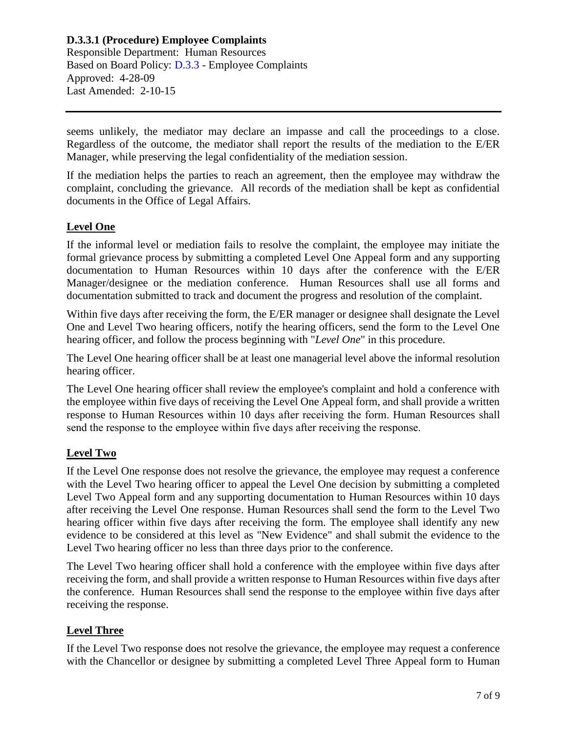seems unlikely, the mediator may declare an impasse and call the proceedings to a close. Regardless of the outcome, the mediator shall report the results of the mediation to the E/ER Manager, while preserving the legal confidentiality of the mediation session.

If the mediation helps the parties to reach an agreement, then the employee may withdraw the complaint, concluding the grievance. All records of the mediation shall be kept as confidential documents in the Office of Legal Affairs.

## **Level One**

If the informal level or mediation fails to resolve the complaint, the employee may initiate the formal grievance process by submitting a completed Level One Appeal form and any supporting documentation to Human Resources within 10 days after the conference with the E/ER Manager/designee or the mediation conference. Human Resources shall use all forms and documentation submitted to track and document the progress and resolution of the complaint.

Within five days after receiving the form, the E/ER manager or designee shall designate the Level One and Level Two hearing officers, notify the hearing officers, send the form to the Level One hearing officer, and follow the process beginning with "*Level One*" in this procedure.

The Level One hearing officer shall be at least one managerial level above the informal resolution hearing officer.

The Level One hearing officer shall review the employee's complaint and hold a conference with the employee within five days of receiving the Level One Appeal form, and shall provide a written response to Human Resources within 10 days after receiving the form. Human Resources shall send the response to the employee within five days after receiving the response.

## **Level Two**

If the Level One response does not resolve the grievance, the employee may request a conference with the Level Two hearing officer to appeal the Level One decision by submitting a completed Level Two Appeal form and any supporting documentation to Human Resources within 10 days after receiving the Level One response. Human Resources shall send the form to the Level Two hearing officer within five days after receiving the form. The employee shall identify any new evidence to be considered at this level as "New Evidence" and shall submit the evidence to the Level Two hearing officer no less than three days prior to the conference.

The Level Two hearing officer shall hold a conference with the employee within five days after receiving the form, and shall provide a written response to Human Resources within five days after the conference. Human Resources shall send the response to the employee within five days after receiving the response.

## **Level Three**

If the Level Two response does not resolve the grievance, the employee may request a conference with the Chancellor or designee by submitting a completed Level Three Appeal form to Human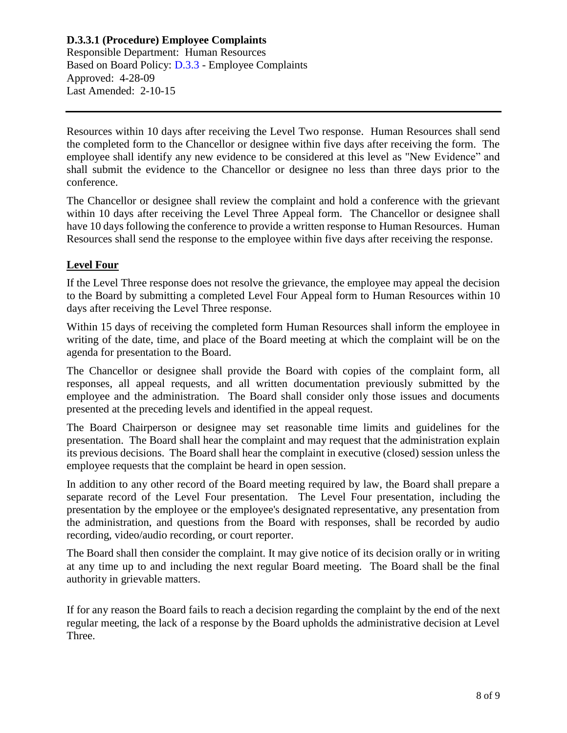#### **D.3.3.1 (Procedure) Employee Complaints** Responsible Department: Human Resources

Based on Board Policy: [D.3.3](https://www.alamo.edu/siteassets/district/about-us/leadership/board-of-trustees/policies-pdfs/section-d/d.3.3-policy.pdf) - Employee Complaints Approved: 4-28-09 Last Amended: 2-10-15

Resources within 10 days after receiving the Level Two response. Human Resources shall send the completed form to the Chancellor or designee within five days after receiving the form. The employee shall identify any new evidence to be considered at this level as "New Evidence" and shall submit the evidence to the Chancellor or designee no less than three days prior to the conference.

The Chancellor or designee shall review the complaint and hold a conference with the grievant within 10 days after receiving the Level Three Appeal form. The Chancellor or designee shall have 10 days following the conference to provide a written response to Human Resources. Human Resources shall send the response to the employee within five days after receiving the response.

## **Level Four**

If the Level Three response does not resolve the grievance, the employee may appeal the decision to the Board by submitting a completed Level Four Appeal form to Human Resources within 10 days after receiving the Level Three response.

Within 15 days of receiving the completed form Human Resources shall inform the employee in writing of the date, time, and place of the Board meeting at which the complaint will be on the agenda for presentation to the Board.

The Chancellor or designee shall provide the Board with copies of the complaint form, all responses, all appeal requests, and all written documentation previously submitted by the employee and the administration. The Board shall consider only those issues and documents presented at the preceding levels and identified in the appeal request.

The Board Chairperson or designee may set reasonable time limits and guidelines for the presentation. The Board shall hear the complaint and may request that the administration explain its previous decisions. The Board shall hear the complaint in executive (closed) session unless the employee requests that the complaint be heard in open session.

In addition to any other record of the Board meeting required by law, the Board shall prepare a separate record of the Level Four presentation. The Level Four presentation, including the presentation by the employee or the employee's designated representative, any presentation from the administration, and questions from the Board with responses, shall be recorded by audio recording, video/audio recording, or court reporter.

The Board shall then consider the complaint. It may give notice of its decision orally or in writing at any time up to and including the next regular Board meeting. The Board shall be the final authority in grievable matters.

If for any reason the Board fails to reach a decision regarding the complaint by the end of the next regular meeting, the lack of a response by the Board upholds the administrative decision at Level Three.